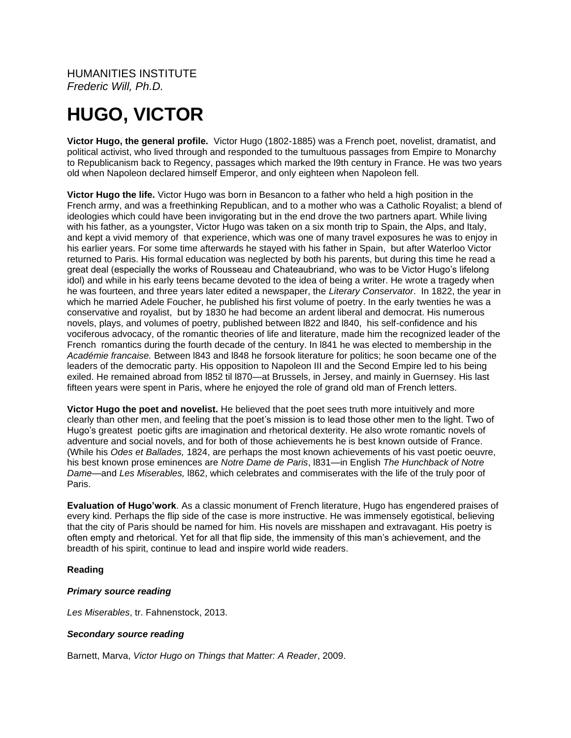HUMANITIES INSTITUTE *Frederic Will, Ph.D.*

# **HUGO, VICTOR**

**Victor Hugo, the general profile.** Victor Hugo (1802-1885) was a French poet, novelist, dramatist, and political activist, who lived through and responded to the tumultuous passages from Empire to Monarchy to Republicanism back to Regency, passages which marked the l9th century in France. He was two years old when Napoleon declared himself Emperor, and only eighteen when Napoleon fell.

**Victor Hugo the life.** Victor Hugo was born in Besancon to a father who held a high position in the French army, and was a freethinking Republican, and to a mother who was a Catholic Royalist; a blend of ideologies which could have been invigorating but in the end drove the two partners apart. While living with his father, as a youngster, Victor Hugo was taken on a six month trip to Spain, the Alps, and Italy, and kept a vivid memory of that experience, which was one of many travel exposures he was to enjoy in his earlier years. For some time afterwards he stayed with his father in Spain, but after Waterloo Victor returned to Paris. His formal education was neglected by both his parents, but during this time he read a great deal (especially the works of Rousseau and Chateaubriand, who was to be Victor Hugo's lifelong idol) and while in his early teens became devoted to the idea of being a writer. He wrote a tragedy when he was fourteen, and three years later edited a newspaper, the *Literary Conservator*. In 1822, the year in which he married Adele Foucher, he published his first volume of poetry. In the early twenties he was a conservative and royalist, but by 1830 he had become an ardent liberal and democrat. His numerous novels, plays, and volumes of poetry, published between l822 and l840, his self-confidence and his vociferous advocacy, of the romantic theories of life and literature, made him the recognized leader of the French romantics during the fourth decade of the century. In l841 he was elected to membership in the *Académie francaise.* Between l843 and l848 he forsook literature for politics; he soon became one of the leaders of the democratic party. His opposition to Napoleon III and the Second Empire led to his being exiled. He remained abroad from l852 til l870—at Brussels, in Jersey, and mainly in Guernsey. His last fifteen years were spent in Paris, where he enjoyed the role of grand old man of French letters.

**Victor Hugo the poet and novelist.** He believed that the poet sees truth more intuitively and more clearly than other men, and feeling that the poet's mission is to lead those other men to the light. Two of Hugo's greatest poetic gifts are imagination and rhetorical dexterity. He also wrote romantic novels of adventure and social novels, and for both of those achievements he is best known outside of France. (While his *Odes et Ballades,* 1824, are perhaps the most known achievements of his vast poetic oeuvre, his best known prose eminences are *Notre Dame de Paris*, l831—in English *The Hunchback of Notre Dame—*and *Les Miserables,* l862, which celebrates and commiserates with the life of the truly poor of Paris.

**Evaluation of Hugo'work**. As a classic monument of French literature, Hugo has engendered praises of every kind. Perhaps the flip side of the case is more instructive. He was immensely egotistical, believing that the city of Paris should be named for him. His novels are misshapen and extravagant. His poetry is often empty and rhetorical. Yet for all that flip side, the immensity of this man's achievement, and the breadth of his spirit, continue to lead and inspire world wide readers.

#### **Reading**

#### *Primary source reading*

*Les Miserables*, tr. Fahnenstock, 2013.

#### *Secondary source reading*

Barnett, Marva, *Victor Hugo on Things that Matter: A Reader*, 2009.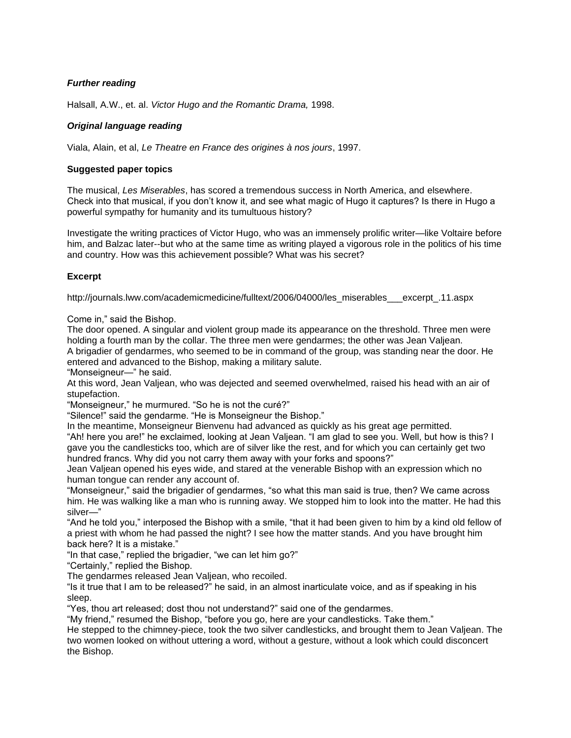## *Further reading*

Halsall, A.W., et. al. *Victor Hugo and the Romantic Drama,* 1998.

## *Original language reading*

Viala, Alain, et al, *Le Theatre en France des origines à nos jours*, 1997.

### **Suggested paper topics**

The musical, *Les Miserables*, has scored a tremendous success in North America, and elsewhere. Check into that musical, if you don't know it, and see what magic of Hugo it captures? Is there in Hugo a powerful sympathy for humanity and its tumultuous history?

Investigate the writing practices of Victor Hugo, who was an immensely prolific writer—like Voltaire before him, and Balzac later--but who at the same time as writing played a vigorous role in the politics of his time and country. How was this achievement possible? What was his secret?

## **Excerpt**

http://journals.lww.com/academicmedicine/fulltext/2006/04000/les\_miserables\_\_\_excerpt\_.11.aspx

Come in," said the Bishop.

The door opened. A singular and violent group made its appearance on the threshold. Three men were holding a fourth man by the collar. The three men were gendarmes; the other was Jean Valjean.

A brigadier of gendarmes, who seemed to be in command of the group, was standing near the door. He entered and advanced to the Bishop, making a military salute.

"Monseigneur—" he said.

At this word, Jean Valjean, who was dejected and seemed overwhelmed, raised his head with an air of stupefaction.

"Monseigneur," he murmured. "So he is not the curé?"

"Silence!" said the gendarme. "He is Monseigneur the Bishop."

In the meantime, Monseigneur Bienvenu had advanced as quickly as his great age permitted.

"Ah! here you are!" he exclaimed, looking at Jean Valjean. "I am glad to see you. Well, but how is this? I gave you the candlesticks too, which are of silver like the rest, and for which you can certainly get two hundred francs. Why did you not carry them away with your forks and spoons?"

Jean Valjean opened his eyes wide, and stared at the venerable Bishop with an expression which no human tongue can render any account of.

"Monseigneur," said the brigadier of gendarmes, "so what this man said is true, then? We came across him. He was walking like a man who is running away. We stopped him to look into the matter. He had this silver—"

"And he told you," interposed the Bishop with a smile, "that it had been given to him by a kind old fellow of a priest with whom he had passed the night? I see how the matter stands. And you have brought him back here? It is a mistake."

"In that case," replied the brigadier, "we can let him go?"

"Certainly," replied the Bishop.

The gendarmes released Jean Valjean, who recoiled.

"Is it true that I am to be released?" he said, in an almost inarticulate voice, and as if speaking in his sleep.

"Yes, thou art released; dost thou not understand?" said one of the gendarmes.

"My friend," resumed the Bishop, "before you go, here are your candlesticks. Take them."

He stepped to the chimney-piece, took the two silver candlesticks, and brought them to Jean Valjean. The two women looked on without uttering a word, without a gesture, without a look which could disconcert the Bishop.